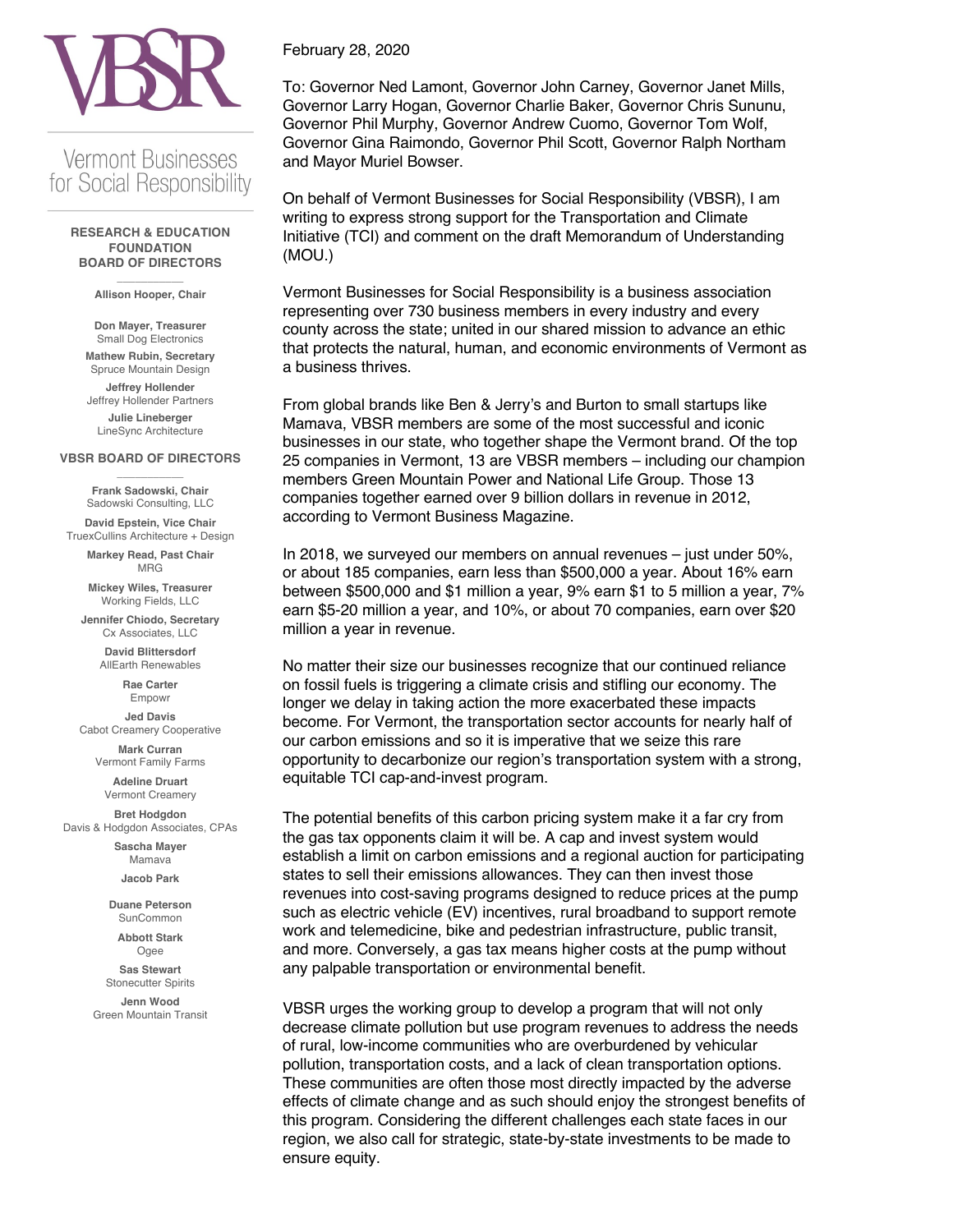

## **Vermont Businesses** for Social Responsibility

## **RESEARCH & EDUCATION FOUNDATION BOARD OF DIRECTORS**

 $\overline{\phantom{a}}$ **Allison Hooper, Chair**

**Don Mayer, Treasurer** Small Dog Electronics

**Mathew Rubin, Secretary** Spruce Mountain Design

**Jeffrey Hollender** Jeffrey Hollender Partners **Julie Lineberger**

LineSync Architecture

## **VBSR BOARD OF DIRECTORS**  $\overline{\phantom{a}}$

**Frank Sadowski, Chair** Sadowski Consulting, LLC

**David Epstein, Vice Chair** TruexCullins Architecture + Design

**Markey Read, Past Chair** MRG

**Mickey Wiles, Treasurer** Working Fields, LLC

**Jennifer Chiodo, Secretary** Cx Associates, LLC

> **David Blittersdorf** AllEarth Renewables

> > **Rae Carter** Empowr

**Jed Davis** Cabot Creamery Cooperative

> **Mark Curran**  Vermont Family Farms

**Adeline Druart** Vermont Creamery

**Bret Hodgdon** Davis & Hodgdon Associates, CPAs

> **Sascha Mayer** Mamava

**Jacob Park**

**Duane Peterson** SunCommon

> **Abbott Stark** Ogee

**Sas Stewart** Stonecutter Spirits

**Jenn Wood** Green Mountain Transit February 28, 2020

To: Governor Ned Lamont, Governor John Carney, Governor Janet Mills, Governor Larry Hogan, Governor Charlie Baker, Governor Chris Sununu, Governor Phil Murphy, Governor Andrew Cuomo, Governor Tom Wolf, Governor Gina Raimondo, Governor Phil Scott, Governor Ralph Northam and Mayor Muriel Bowser.

On behalf of Vermont Businesses for Social Responsibility (VBSR), I am writing to express strong support for the Transportation and Climate Initiative (TCI) and comment on the draft Memorandum of Understanding (MOU.)

Vermont Businesses for Social Responsibility is a business association representing over 730 business members in every industry and every county across the state; united in our shared mission to advance an ethic that protects the natural, human, and economic environments of Vermont as a business thrives.

From global brands like Ben & Jerry's and Burton to small startups like Mamava, VBSR members are some of the most successful and iconic businesses in our state, who together shape the Vermont brand. Of the top 25 companies in Vermont, 13 are VBSR members – including our champion members Green Mountain Power and National Life Group. Those 13 companies together earned over 9 billion dollars in revenue in 2012, according to Vermont Business Magazine.

In 2018, we surveyed our members on annual revenues – just under 50%, or about 185 companies, earn less than \$500,000 a year. About 16% earn between \$500,000 and \$1 million a year, 9% earn \$1 to 5 million a year, 7% earn \$5-20 million a year, and 10%, or about 70 companies, earn over \$20 million a year in revenue.

No matter their size our businesses recognize that our continued reliance on fossil fuels is triggering a climate crisis and stifling our economy. The longer we delay in taking action the more exacerbated these impacts become. For Vermont, the transportation sector accounts for nearly half of our carbon emissions and so it is imperative that we seize this rare opportunity to decarbonize our region's transportation system with a strong, equitable TCI cap-and-invest program.

The potential benefits of this carbon pricing system make it a far cry from the gas tax opponents claim it will be. A cap and invest system would establish a limit on carbon emissions and a regional auction for participating states to sell their emissions allowances. They can then invest those revenues into cost-saving programs designed to reduce prices at the pump such as electric vehicle (EV) incentives, rural broadband to support remote work and telemedicine, bike and pedestrian infrastructure, public transit, and more. Conversely, a gas tax means higher costs at the pump without any palpable transportation or environmental benefit.

VBSR urges the working group to develop a program that will not only decrease climate pollution but use program revenues to address the needs of rural, low-income communities who are overburdened by vehicular pollution, transportation costs, and a lack of clean transportation options. These communities are often those most directly impacted by the adverse effects of climate change and as such should enjoy the strongest benefits of this program. Considering the different challenges each state faces in our region, we also call for strategic, state-by-state investments to be made to ensure equity.